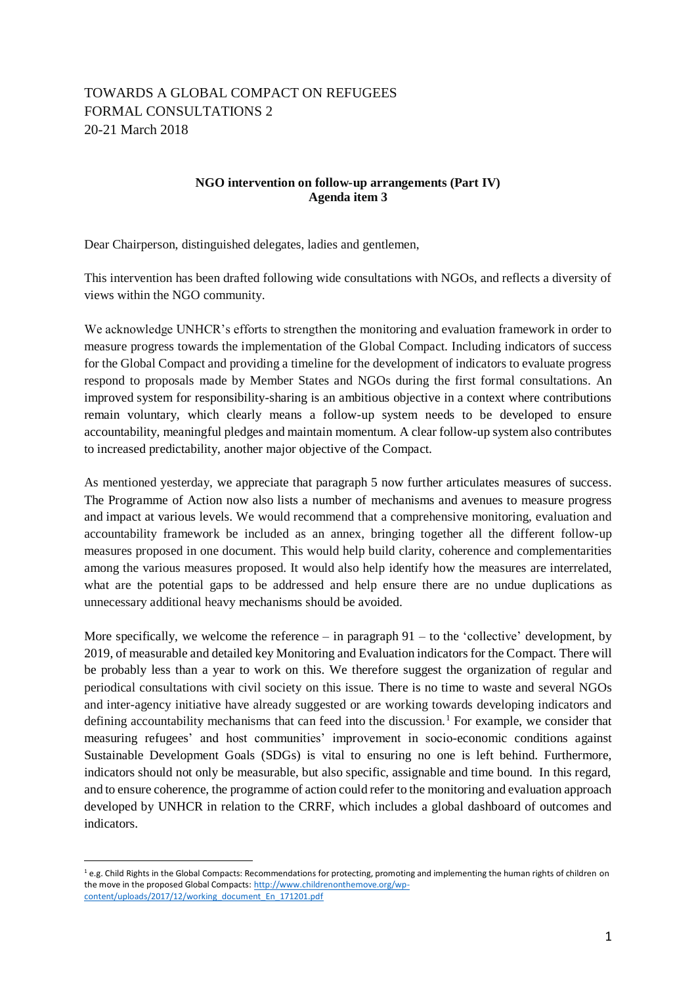## TOWARDS A GLOBAL COMPACT ON REFUGEES FORMAL CONSULTATIONS 2 20-21 March 2018

## **NGO intervention on follow-up arrangements (Part IV) Agenda item 3**

Dear Chairperson, distinguished delegates, ladies and gentlemen,

This intervention has been drafted following wide consultations with NGOs, and reflects a diversity of views within the NGO community.

We acknowledge UNHCR's efforts to strengthen the monitoring and evaluation framework in order to measure progress towards the implementation of the Global Compact. Including indicators of success for the Global Compact and providing a timeline for the development of indicators to evaluate progress respond to proposals made by Member States and NGOs during the first formal consultations. An improved system for responsibility-sharing is an ambitious objective in a context where contributions remain voluntary, which clearly means a follow-up system needs to be developed to ensure accountability, meaningful pledges and maintain momentum. A clear follow-up system also contributes to increased predictability, another major objective of the Compact.

As mentioned yesterday, we appreciate that paragraph 5 now further articulates measures of success. The Programme of Action now also lists a number of mechanisms and avenues to measure progress and impact at various levels. We would recommend that a comprehensive monitoring, evaluation and accountability framework be included as an annex, bringing together all the different follow-up measures proposed in one document. This would help build clarity, coherence and complementarities among the various measures proposed. It would also help identify how the measures are interrelated, what are the potential gaps to be addressed and help ensure there are no undue duplications as unnecessary additional heavy mechanisms should be avoided.

More specifically, we welcome the reference – in paragraph  $91 -$  to the 'collective' development, by 2019, of measurable and detailed key Monitoring and Evaluation indicators for the Compact. There will be probably less than a year to work on this. We therefore suggest the organization of regular and periodical consultations with civil society on this issue. There is no time to waste and several NGOs and inter-agency initiative have already suggested or are working towards developing indicators and defining accountability mechanisms that can feed into the discussion.<sup>1</sup> For example, we consider that measuring refugees' and host communities' improvement in socio-economic conditions against Sustainable Development Goals (SDGs) is vital to ensuring no one is left behind. Furthermore, indicators should not only be measurable, but also specific, assignable and time bound. In this regard, and to ensure coherence, the programme of action could refer to the monitoring and evaluation approach developed by UNHCR in relation to the CRRF, which includes a global dashboard of outcomes and indicators.

 $\overline{a}$ 

 $1$  e.g. Child Rights in the Global Compacts: Recommendations for protecting, promoting and implementing the human rights of children on the move in the proposed Global Compacts[: http://www.childrenonthemove.org/wp](http://www.childrenonthemove.org/wp-content/uploads/2017/12/working_document_En_171201.pdf)[content/uploads/2017/12/working\\_document\\_En\\_171201.pdf](http://www.childrenonthemove.org/wp-content/uploads/2017/12/working_document_En_171201.pdf)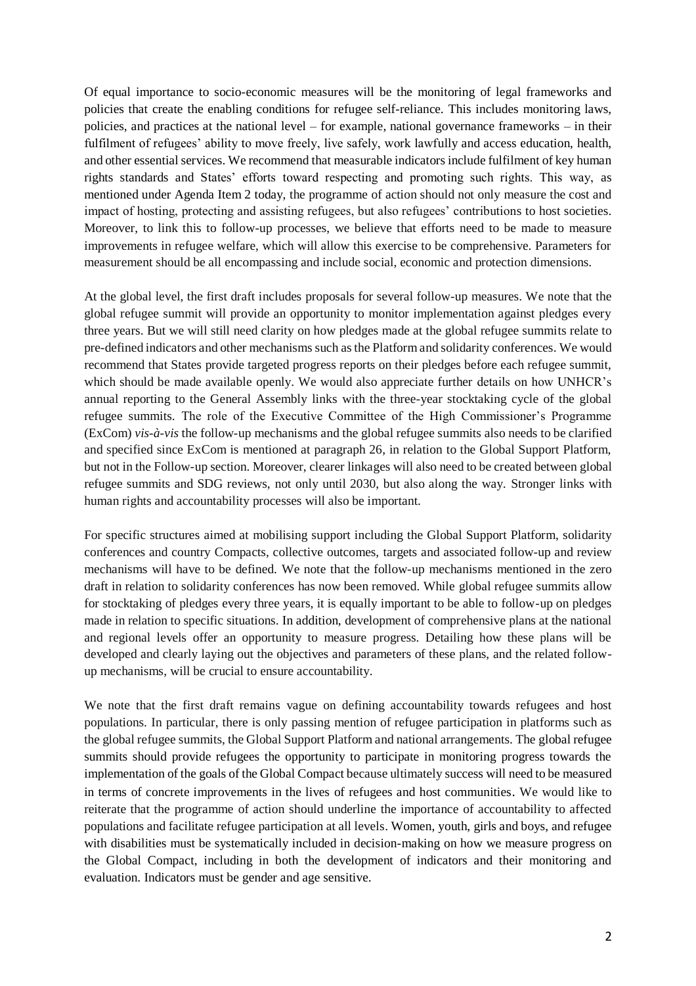Of equal importance to socio-economic measures will be the monitoring of legal frameworks and policies that create the enabling conditions for refugee self-reliance. This includes monitoring laws, policies, and practices at the national level – for example, national governance frameworks – in their fulfilment of refugees' ability to move freely, live safely, work lawfully and access education, health, and other essential services. We recommend that measurable indicators include fulfilment of key human rights standards and States' efforts toward respecting and promoting such rights. This way, as mentioned under Agenda Item 2 today, the programme of action should not only measure the cost and impact of hosting, protecting and assisting refugees, but also refugees' contributions to host societies. Moreover, to link this to follow-up processes, we believe that efforts need to be made to measure improvements in refugee welfare, which will allow this exercise to be comprehensive. Parameters for measurement should be all encompassing and include social, economic and protection dimensions.

At the global level, the first draft includes proposals for several follow-up measures. We note that the global refugee summit will provide an opportunity to monitor implementation against pledges every three years. But we will still need clarity on how pledges made at the global refugee summits relate to pre-defined indicators and other mechanisms such as the Platform and solidarity conferences. We would recommend that States provide targeted progress reports on their pledges before each refugee summit, which should be made available openly. We would also appreciate further details on how UNHCR's annual reporting to the General Assembly links with the three-year stocktaking cycle of the global refugee summits. The role of the Executive Committee of the High Commissioner's Programme (ExCom) *vis-à-vis* the follow-up mechanisms and the global refugee summits also needs to be clarified and specified since ExCom is mentioned at paragraph 26, in relation to the Global Support Platform, but not in the Follow-up section. Moreover, clearer linkages will also need to be created between global refugee summits and SDG reviews, not only until 2030, but also along the way. Stronger links with human rights and accountability processes will also be important.

For specific structures aimed at mobilising support including the Global Support Platform, solidarity conferences and country Compacts, collective outcomes, targets and associated follow-up and review mechanisms will have to be defined. We note that the follow-up mechanisms mentioned in the zero draft in relation to solidarity conferences has now been removed. While global refugee summits allow for stocktaking of pledges every three years, it is equally important to be able to follow-up on pledges made in relation to specific situations. In addition, development of comprehensive plans at the national and regional levels offer an opportunity to measure progress. Detailing how these plans will be developed and clearly laying out the objectives and parameters of these plans, and the related followup mechanisms, will be crucial to ensure accountability.

We note that the first draft remains vague on defining accountability towards refugees and host populations. In particular, there is only passing mention of refugee participation in platforms such as the global refugee summits, the Global Support Platform and national arrangements. The global refugee summits should provide refugees the opportunity to participate in monitoring progress towards the implementation of the goals of the Global Compact because ultimately success will need to be measured in terms of concrete improvements in the lives of refugees and host communities. We would like to reiterate that the programme of action should underline the importance of accountability to affected populations and facilitate refugee participation at all levels. Women, youth, girls and boys, and refugee with disabilities must be systematically included in decision-making on how we measure progress on the Global Compact, including in both the development of indicators and their monitoring and evaluation. Indicators must be gender and age sensitive.